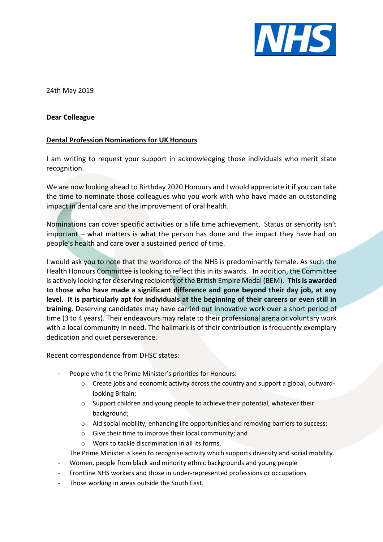

24th May 2019

## **Dear Colleague**

## **Dental Profession Nominations for UK Honours**

I am writing to request your support in acknowledging those individuals who merit state recognition.

We are now looking ahead to Birthday 2020 Honours and I would appreciate it if you can take the time to nominate those colleagues who you work with who have made an outstanding impact in dental care and the improvement of oral health.

Nominations can cover specific activities or a life time achievement. Status or seniority isn't important – what matters is what the person has done and the impact they have had on people's health and care over a sustained period of time.

I would ask you to note that the workforce of the NHS is predominantly female. As such the Health Honours Committee islooking to reflect this in its awards. In addition, the Committee is actively looking for deserving recipients of the British Empire Medal (BEM). **This is awarded to those who have made a significant difference and gone beyond their day job, at any level. It is particularly apt for individuals at the beginning of their careers or even still in training.** Deserving candidates may have carried out innovative work over a short period of time (3 to 4 years). Their endeavours may relate to their professional arena or voluntary work with a local community in need. The hallmark is of their contribution is frequently exemplary dedication and quiet perseverance.

Recent correspondence from DHSC states:

- People who fit the Prime Minister's priorities for Honours:
	- $\circ$  Create jobs and economic activity across the country and support a global, outwardlooking Britain;
	- o Support children and young people to achieve their potential, whatever their background;
	- o Aid social mobility, enhancing life opportunities and removing barriers to success;
	- o Give their time to improve their local community; and
	- o Work to tackle discrimination in all its forms.

The Prime Minister is keen to recognise activity which supports diversity and social mobility.

- Women, people from black and minority ethnic backgrounds and young people
- Frontline NHS workers and those in under-represented professions or occupations
- Those working in areas outside the South East.